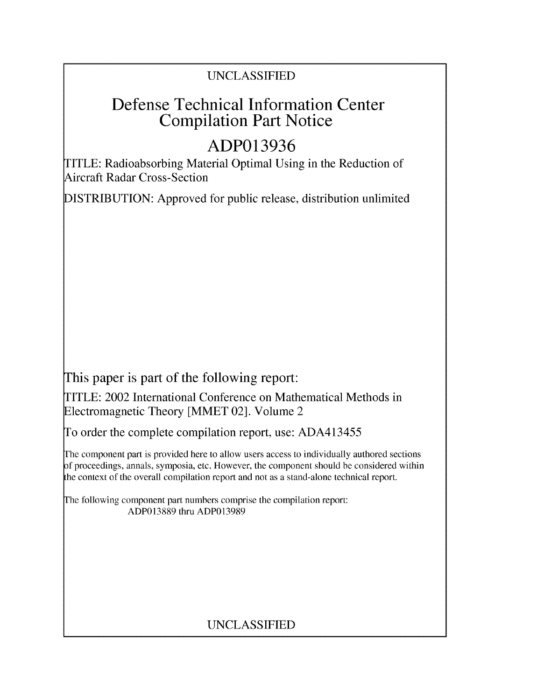### UNCLASSIFIED

## Defense Technical Information Center Compilation Part Notice

# **ADP013936**

TITLE: Radioabsorbing Material Optimal Using in the Reduction of Aircraft Radar Cross-Section

DISTRIBUTION: Approved for public release, distribution unlimited

This paper is part of the following report:

TITLE: 2002 International Conference on Mathematical Methods in Electromagnetic Theory [MMET 02]. Volume 2

To order the complete compilation report, use: ADA413455

The component part is provided here to allow users access to individually authored sections f proceedings, annals, symposia, etc. However, the component should be considered within the context of the overall compilation report and not as a stand-alone technical report.

The following component part numbers comprise the compilation report: ADP013889 thru ADP013989

## UNCLASSIFIED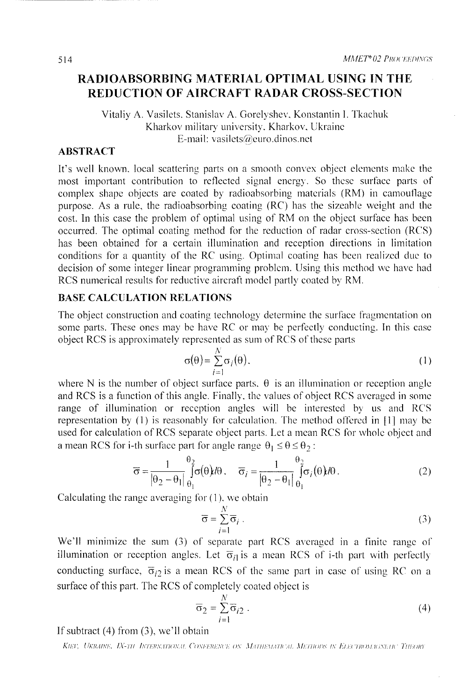### RADIOABSORBING MATERIAL OPTIMAL **USING IN** THE **REDUCTION** OF AIRCRAFT RADAR **CROSS-SECTION**

#### Vitaliy A. Vasilets. Stanislav A. Gorelyshev, Konstantin 1. Tkachuk Kharkov military university. Kharkov. Ukraine E-mail: vasilets@euro.dinos.net

#### ABSTRACT

It's well known. local scattering parts on a smooth convex object elements make the most important contribution to reflected signal energy. So these surface parts of complex shape objects are coated by radioabsorbing materials (RM) in camouflage purpose. As a rule, the radioabsorbing coating (RC) has the sizeable weight and the cost. In this case the problem of optimal using of RM on the object surface has been occurred. The optimal coating method for the reduction of radar cross-section (RCS) has been obtained for a certain illumination and reception directions in limitation conditions for a quantity of the RC using. Optimal coating has been realized due to decision of some integer linear programming problem. Using this method we have had RCS numerical results for reductive aircraft model partly coated by RM.

#### **BASE CALCULATION RELATIONS**

The object construction and coating technology determine the surface fragmentation on some parts. These ones may be have RC or may be perfectly conducting. In this case object RCS is approximately represented as sum of RCS of these parts

$$
\sigma(\theta) = \sum_{i=1}^{N} \sigma_i(\theta). \tag{1}
$$

where N is the number of object surface parts.  $\theta$  is an illumination or reception angle and RCS is a function of this angle. Finally. the values of object RCS averaged in some range of illumination or reception angles will be interested by us and RCS representation by (1) is reasonably for calculation. The method offered in **[11** may be used for calculation of RCS separate object parts. Let a mean RCS for whole object and a mean RCS for i-th surface part for angle range  $\theta_1 \le \theta \le \theta_2$ :

$$
\overline{\sigma} = \frac{1}{\left|\theta_2 - \theta_1\right|} \int_{\theta_1}^{\theta_2} \sigma(\theta) d\theta, \quad \overline{\sigma}_i = \frac{1}{\left|\theta_2 - \theta_1\right|} \int_{\theta_1}^{\theta_2} \sigma_i(\theta) d\theta. \tag{2}
$$

Calculating the range averaging for ( **1).** we obtain

$$
\overline{\sigma} = \sum_{i=1}^{N} \overline{\sigma}_i . \tag{3}
$$

We'll minimize the sum (3) of separate part RCS averaged in a finite range of illumination or reception angles. Let  $\overline{\sigma}_{i}$  is a mean RCS of i-th part with perfectly conducting surface,  $\overline{\sigma}_{i2}$  is a mean RCS of the same part in case of using RC on a surface of this part. The RCS of completely coated object is *N*

$$
\overline{\sigma}_2 = \sum_{i=1}^N \overline{\sigma}_{i2} . \tag{4}
$$

If subtract (4) from (3), we'll obtain

KIEV, UKRAINE, IX-TH INTERNATIONAL CONFERENCE ON MATHEMATICAL METHODS IN ELECTROMAGNETIC THEORY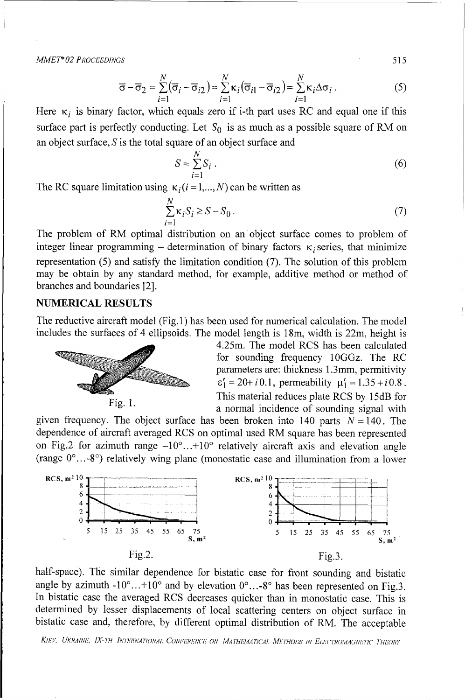*MMET\* 02 PROCEEDINGS* 515

$$
\overline{\sigma} - \overline{\sigma}_2 = \sum_{i=1}^N (\overline{\sigma}_i - \overline{\sigma}_{i2}) = \sum_{i=1}^N \kappa_i (\overline{\sigma}_{i1} - \overline{\sigma}_{i2}) = \sum_{i=1}^N \kappa_i \Delta \sigma_i.
$$
 (5)

Here  $\kappa_i$  is binary factor, which equals zero if i-th part uses RC and equal one if this surface part is perfectly conducting. Let  $S_0$  is as much as a possible square of RM on an object surface,  $S$  is the total square of an object surface and

$$
S = \sum_{i=1}^{N} S_i \tag{6}
$$

The RC square limitation using  $\kappa_i$  (*i* = 1,..., *N*) can be written as

$$
\sum_{i=1}^{N} \kappa_i S_i \ge S - S_0.
$$
 (7)

The problem of RM optimal distribution on an object surface comes to problem of integer linear programming – determination of binary factors  $\kappa_i$  series, that minimize representation (5) and satisfy the limitation condition (7). The solution of this problem may be obtain by any standard method, for example, additive method or method of branches and boundaries [2].

#### **NUMERICAL RESULTS**

The reductive aircraft model (Fig. 1) has been used for numerical calculation. The model includes the surfaces of 4 ellipsoids. The model length is 18m, width is 22m, height is



4.25m. The model RCS has been calculated for sounding frequency 10GGz. The RC parameters are: thickness 1.3mm, permitivity  $\varepsilon'_1 = 20 + i0.1$ , permeability  $\mu'_1 = 1.35 + i0.8$ . Fig. 1. **This material reduces plate RCS** by 15dB for Fig. 1. a normal incidence of sounding signal with

given frequency. The object surface has been broken into 140 parts  $N = 140$ . The dependence of aircraft averaged RCS on optimal used RM square has been represented on Fig.2 for azimuth range **-10'...+10'** relatively aircraft axis and elevation angle (range **0'...-8')** relatively wing plane (monostatic case and illumination from a lower



half-space). The similar dependence for bistatic case for front sounding and bistatic angle by azimuth  $-10^{\circ}$ ... $+10^{\circ}$  and by elevation  $0^{\circ}$ ...-8° has been represented on Fig.3. In bistatic case the averaged RCS decreases quicker than in monostatic case. This is determined by lesser displacements of local scattering centers on object surface in bistatic case and, therefore, by different optimal distribution of RM. The acceptable

KIEV, UKRAINE, IX-TH INTERNATIONAL CONFERENCE ON MATHEMATICAL METHODS IN ELECTROMAGNETIC THEORY